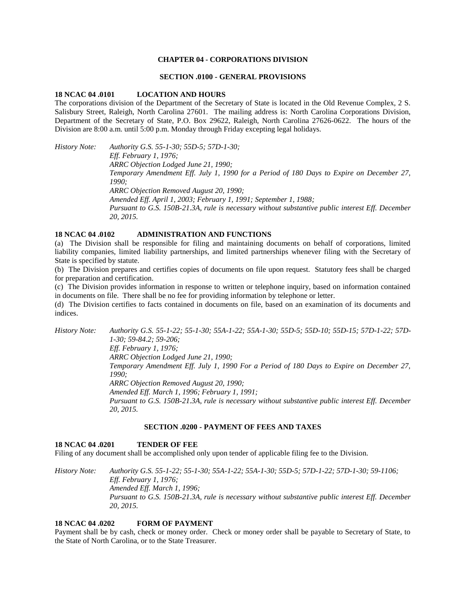# **CHAPTER 04 - CORPORATIONS DIVISION**

### **SECTION .0100 - GENERAL PROVISIONS**

### **18 NCAC 04 .0101 LOCATION AND HOURS**

The corporations division of the Department of the Secretary of State is located in the Old Revenue Complex, 2 S. Salisbury Street, Raleigh, North Carolina 27601. The mailing address is: North Carolina Corporations Division, Department of the Secretary of State, P.O. Box 29622, Raleigh, North Carolina 27626-0622. The hours of the Division are 8:00 a.m. until 5:00 p.m. Monday through Friday excepting legal holidays.

*History Note: Authority G.S. 55-1-30; 55D-5; 57D-1-30; Eff. February 1, 1976; ARRC Objection Lodged June 21, 1990; Temporary Amendment Eff. July 1, 1990 for a Period of 180 Days to Expire on December 27, 1990; ARRC Objection Removed August 20, 1990; Amended Eff. April 1, 2003; February 1, 1991; September 1, 1988; Pursuant to G.S. 150B-21.3A, rule is necessary without substantive public interest Eff. December 20, 2015.*

# **18 NCAC 04 .0102 ADMINISTRATION AND FUNCTIONS**

(a) The Division shall be responsible for filing and maintaining documents on behalf of corporations, limited liability companies, limited liability partnerships, and limited partnerships whenever filing with the Secretary of State is specified by statute.

(b) The Division prepares and certifies copies of documents on file upon request. Statutory fees shall be charged for preparation and certification.

(c) The Division provides information in response to written or telephone inquiry, based on information contained in documents on file. There shall be no fee for providing information by telephone or letter.

(d) The Division certifies to facts contained in documents on file, based on an examination of its documents and indices.

*History Note: Authority G.S. 55-1-22; 55-1-30; 55A-1-22; 55A-1-30; 55D-5; 55D-10; 55D-15; 57D-1-22; 57D-1-30; 59-84.2; 59-206; Eff. February 1, 1976; ARRC Objection Lodged June 21, 1990; Temporary Amendment Eff. July 1, 1990 For a Period of 180 Days to Expire on December 27, 1990; ARRC Objection Removed August 20, 1990; Amended Eff. March 1, 1996; February 1, 1991; Pursuant to G.S. 150B-21.3A, rule is necessary without substantive public interest Eff. December 20, 2015.*

# **SECTION .0200 - PAYMENT OF FEES AND TAXES**

# **18 NCAC 04 .0201 TENDER OF FEE**

Filing of any document shall be accomplished only upon tender of applicable filing fee to the Division.

*History Note: Authority G.S. 55-1-22; 55-1-30; 55A-1-22; 55A-1-30; 55D-5; 57D-1-22; 57D-1-30; 59-1106; Eff. February 1, 1976; Amended Eff. March 1, 1996; Pursuant to G.S. 150B-21.3A, rule is necessary without substantive public interest Eff. December 20, 2015.*

# **18 NCAC 04 .0202 FORM OF PAYMENT**

Payment shall be by cash, check or money order. Check or money order shall be payable to Secretary of State, to the State of North Carolina, or to the State Treasurer.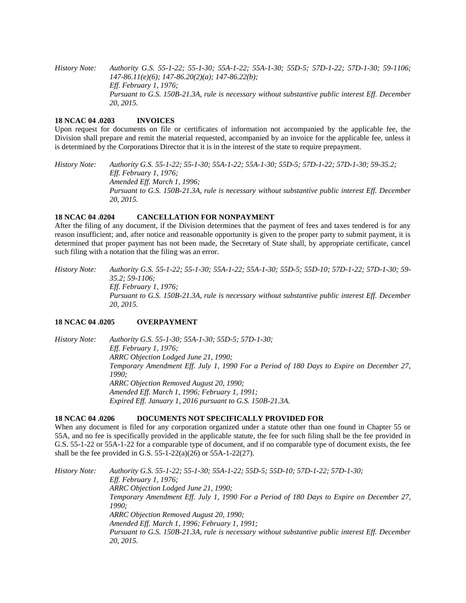*History Note: Authority G.S. 55-1-22; 55-1-30; 55A-1-22; 55A-1-30; 55D-5; 57D-1-22; 57D-1-30; 59-1106; 147-86.11(e)(6); 147-86.20(2)(a); 147-86.22(b); Eff. February 1, 1976; Pursuant to G.S. 150B-21.3A, rule is necessary without substantive public interest Eff. December 20, 2015.*

### **18 NCAC 04 .0203 INVOICES**

Upon request for documents on file or certificates of information not accompanied by the applicable fee, the Division shall prepare and remit the material requested, accompanied by an invoice for the applicable fee, unless it is determined by the Corporations Director that it is in the interest of the state to require prepayment.

*History Note: Authority G.S. 55-1-22; 55-1-30; 55A-1-22; 55A-1-30; 55D-5; 57D-1-22; 57D-1-30; 59-35.2; Eff. February 1, 1976; Amended Eff. March 1, 1996; Pursuant to G.S. 150B-21.3A, rule is necessary without substantive public interest Eff. December 20, 2015.*

# **18 NCAC 04 .0204 CANCELLATION FOR NONPAYMENT**

After the filing of any document, if the Division determines that the payment of fees and taxes tendered is for any reason insufficient; and, after notice and reasonable opportunity is given to the proper party to submit payment, it is determined that proper payment has not been made, the Secretary of State shall, by appropriate certificate, cancel such filing with a notation that the filing was an error.

*History Note: Authority G.S. 55-1-22; 55-1-30; 55A-1-22; 55A-1-30; 55D-5; 55D-10; 57D-1-22; 57D-1-30; 59- 35.2; 59-1106; Eff. February 1, 1976; Pursuant to G.S. 150B-21.3A, rule is necessary without substantive public interest Eff. December 20, 2015.*

# **18 NCAC 04 .0205 OVERPAYMENT**

*History Note: Authority G.S. 55-1-30; 55A-1-30; 55D-5; 57D-1-30; Eff. February 1, 1976; ARRC Objection Lodged June 21, 1990; Temporary Amendment Eff. July 1, 1990 For a Period of 180 Days to Expire on December 27, 1990; ARRC Objection Removed August 20, 1990; Amended Eff. March 1, 1996; February 1, 1991; Expired Eff. January 1, 2016 pursuant to G.S. 150B-21.3A.*

### **18 NCAC 04 .0206 DOCUMENTS NOT SPECIFICALLY PROVIDED FOR**

When any document is filed for any corporation organized under a statute other than one found in Chapter 55 or 55A, and no fee is specifically provided in the applicable statute, the fee for such filing shall be the fee provided in G.S. 55-1-22 or 55A-1-22 for a comparable type of document, and if no comparable type of document exists, the fee shall be the fee provided in G.S.  $55-1-22(a)(26)$  or  $55A-1-22(27)$ .

*History Note: Authority G.S. 55-1-22; 55-1-30; 55A-1-22; 55D-5; 55D-10; 57D-1-22; 57D-1-30; Eff. February 1, 1976; ARRC Objection Lodged June 21, 1990; Temporary Amendment Eff. July 1, 1990 For a Period of 180 Days to Expire on December 27, 1990; ARRC Objection Removed August 20, 1990; Amended Eff. March 1, 1996; February 1, 1991; Pursuant to G.S. 150B-21.3A, rule is necessary without substantive public interest Eff. December 20, 2015.*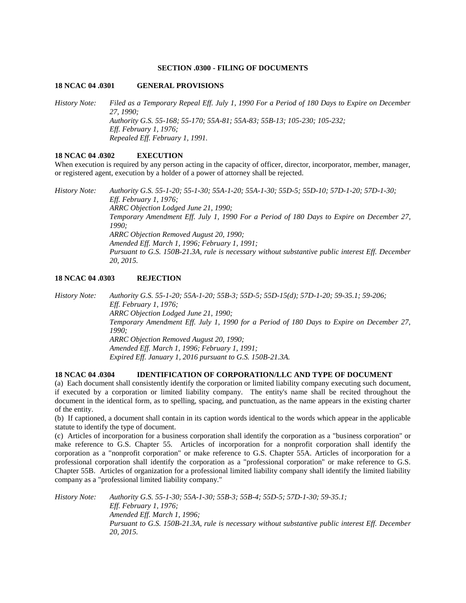#### **SECTION .0300 - FILING OF DOCUMENTS**

# **18 NCAC 04 .0301 GENERAL PROVISIONS**

*History Note: Filed as a Temporary Repeal Eff. July 1, 1990 For a Period of 180 Days to Expire on December 27, 1990; Authority G.S. 55-168; 55-170; 55A-81; 55A-83; 55B-13; 105-230; 105-232; Eff. February 1, 1976; Repealed Eff. February 1, 1991.*

# **18 NCAC 04 .0302 EXECUTION**

When execution is required by any person acting in the capacity of officer, director, incorporator, member, manager, or registered agent, execution by a holder of a power of attorney shall be rejected.

*History Note: Authority G.S. 55-1-20; 55-1-30; 55A-1-20; 55A-1-30; 55D-5; 55D-10; 57D-1-20; 57D-1-30; Eff. February 1, 1976; ARRC Objection Lodged June 21, 1990; Temporary Amendment Eff. July 1, 1990 For a Period of 180 Days to Expire on December 27, 1990; ARRC Objection Removed August 20, 1990; Amended Eff. March 1, 1996; February 1, 1991; Pursuant to G.S. 150B-21.3A, rule is necessary without substantive public interest Eff. December 20, 2015.*

# **18 NCAC 04 .0303 REJECTION**

*History Note: Authority G.S. 55-1-20; 55A-1-20; 55B-3; 55D-5; 55D-15(d); 57D-1-20; 59-35.1; 59-206; Eff. February 1, 1976; ARRC Objection Lodged June 21, 1990; Temporary Amendment Eff. July 1, 1990 for a Period of 180 Days to Expire on December 27, 1990; ARRC Objection Removed August 20, 1990; Amended Eff. March 1, 1996; February 1, 1991; Expired Eff. January 1, 2016 pursuant to G.S. 150B-21.3A.*

# **18 NCAC 04 .0304 IDENTIFICATION OF CORPORATION/LLC AND TYPE OF DOCUMENT**

(a) Each document shall consistently identify the corporation or limited liability company executing such document, if executed by a corporation or limited liability company. The entity's name shall be recited throughout the document in the identical form, as to spelling, spacing, and punctuation, as the name appears in the existing charter of the entity.

(b) If captioned, a document shall contain in its caption words identical to the words which appear in the applicable statute to identify the type of document.

(c) Articles of incorporation for a business corporation shall identify the corporation as a "business corporation" or make reference to G.S. Chapter 55. Articles of incorporation for a nonprofit corporation shall identify the corporation as a "nonprofit corporation" or make reference to G.S. Chapter 55A. Articles of incorporation for a professional corporation shall identify the corporation as a "professional corporation" or make reference to G.S. Chapter 55B. Articles of organization for a professional limited liability company shall identify the limited liability company as a "professional limited liability company."

*History Note: Authority G.S. 55-1-30; 55A-1-30; 55B-3; 55B-4; 55D-5; 57D-1-30; 59-35.1; Eff. February 1, 1976; Amended Eff. March 1, 1996; Pursuant to G.S. 150B-21.3A, rule is necessary without substantive public interest Eff. December 20, 2015.*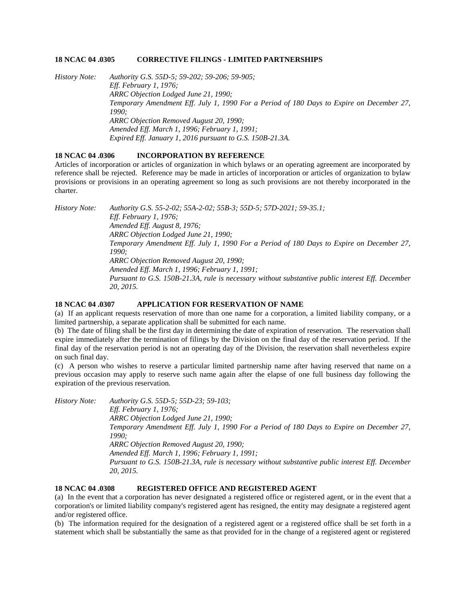### **18 NCAC 04 .0305 CORRECTIVE FILINGS - LIMITED PARTNERSHIPS**

*History Note: Authority G.S. 55D-5; 59-202; 59-206; 59-905; Eff. February 1, 1976; ARRC Objection Lodged June 21, 1990; Temporary Amendment Eff. July 1, 1990 For a Period of 180 Days to Expire on December 27, 1990; ARRC Objection Removed August 20, 1990; Amended Eff. March 1, 1996; February 1, 1991; Expired Eff. January 1, 2016 pursuant to G.S. 150B-21.3A.*

# **18 NCAC 04 .0306 INCORPORATION BY REFERENCE**

Articles of incorporation or articles of organization in which bylaws or an operating agreement are incorporated by reference shall be rejected. Reference may be made in articles of incorporation or articles of organization to bylaw provisions or provisions in an operating agreement so long as such provisions are not thereby incorporated in the charter.

*History Note: Authority G.S. 55-2-02; 55A-2-02; 55B-3; 55D-5; 57D-2021; 59-35.1; Eff. February 1, 1976; Amended Eff. August 8, 1976; ARRC Objection Lodged June 21, 1990; Temporary Amendment Eff. July 1, 1990 For a Period of 180 Days to Expire on December 27, 1990; ARRC Objection Removed August 20, 1990; Amended Eff. March 1, 1996; February 1, 1991; Pursuant to G.S. 150B-21.3A, rule is necessary without substantive public interest Eff. December 20, 2015.*

### **18 NCAC 04 .0307 APPLICATION FOR RESERVATION OF NAME**

(a) If an applicant requests reservation of more than one name for a corporation, a limited liability company, or a limited partnership, a separate application shall be submitted for each name.

(b) The date of filing shall be the first day in determining the date of expiration of reservation. The reservation shall expire immediately after the termination of filings by the Division on the final day of the reservation period. If the final day of the reservation period is not an operating day of the Division, the reservation shall nevertheless expire on such final day.

(c) A person who wishes to reserve a particular limited partnership name after having reserved that name on a previous occasion may apply to reserve such name again after the elapse of one full business day following the expiration of the previous reservation.

*History Note: Authority G.S. 55D-5; 55D-23; 59-103; Eff. February 1, 1976; ARRC Objection Lodged June 21, 1990; Temporary Amendment Eff. July 1, 1990 For a Period of 180 Days to Expire on December 27, 1990; ARRC Objection Removed August 20, 1990; Amended Eff. March 1, 1996; February 1, 1991; Pursuant to G.S. 150B-21.3A, rule is necessary without substantive public interest Eff. December 20, 2015.*

#### **18 NCAC 04 .0308 REGISTERED OFFICE AND REGISTERED AGENT**

(a) In the event that a corporation has never designated a registered office or registered agent, or in the event that a corporation's or limited liability company's registered agent has resigned, the entity may designate a registered agent and/or registered office.

(b) The information required for the designation of a registered agent or a registered office shall be set forth in a statement which shall be substantially the same as that provided for in the change of a registered agent or registered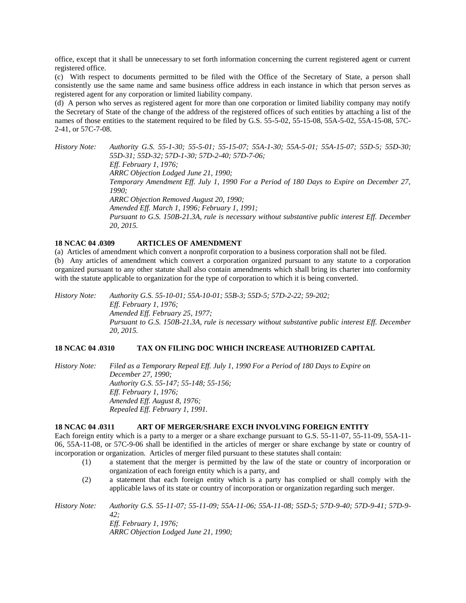office, except that it shall be unnecessary to set forth information concerning the current registered agent or current registered office.

(c) With respect to documents permitted to be filed with the Office of the Secretary of State, a person shall consistently use the same name and same business office address in each instance in which that person serves as registered agent for any corporation or limited liability company.

(d) A person who serves as registered agent for more than one corporation or limited liability company may notify the Secretary of State of the change of the address of the registered offices of such entities by attaching a list of the names of those entities to the statement required to be filed by G.S. 55-5-02, 55-15-08, 55A-5-02, 55A-15-08, 57C-2-41, or 57C-7-08.

*History Note: Authority G.S. 55-1-30; 55-5-01; 55-15-07; 55A-1-30; 55A-5-01; 55A-15-07; 55D-5; 55D-30; 55D-31; 55D-32; 57D-1-30; 57D-2-40; 57D-7-06; Eff. February 1, 1976; ARRC Objection Lodged June 21, 1990; Temporary Amendment Eff. July 1, 1990 For a Period of 180 Days to Expire on December 27, 1990; ARRC Objection Removed August 20, 1990; Amended Eff. March 1, 1996; February 1, 1991; Pursuant to G.S. 150B-21.3A, rule is necessary without substantive public interest Eff. December 20, 2015.*

# **18 NCAC 04 .0309 ARTICLES OF AMENDMENT**

(a) Articles of amendment which convert a nonprofit corporation to a business corporation shall not be filed.

(b) Any articles of amendment which convert a corporation organized pursuant to any statute to a corporation organized pursuant to any other statute shall also contain amendments which shall bring its charter into conformity with the statute applicable to organization for the type of corporation to which it is being converted.

*History Note: Authority G.S. 55-10-01; 55A-10-01; 55B-3; 55D-5; 57D-2-22; 59-202; Eff. February 1, 1976; Amended Eff. February 25, 1977; Pursuant to G.S. 150B-21.3A, rule is necessary without substantive public interest Eff. December 20, 2015.*

## **18 NCAC 04 .0310 TAX ON FILING DOC WHICH INCREASE AUTHORIZED CAPITAL**

*History Note: Filed as a Temporary Repeal Eff. July 1, 1990 For a Period of 180 Days to Expire on December 27, 1990; Authority G.S. 55-147; 55-148; 55-156; Eff. February 1, 1976; Amended Eff. August 8, 1976; Repealed Eff. February 1, 1991.*

# **18 NCAC 04 .0311 ART OF MERGER/SHARE EXCH INVOLVING FOREIGN ENTITY**

Each foreign entity which is a party to a merger or a share exchange pursuant to G.S. 55-11-07, 55-11-09, 55A-11- 06, 55A-11-08, or 57C-9-06 shall be identified in the articles of merger or share exchange by state or country of incorporation or organization. Articles of merger filed pursuant to these statutes shall contain:

- (1) a statement that the merger is permitted by the law of the state or country of incorporation or organization of each foreign entity which is a party, and
- (2) a statement that each foreign entity which is a party has complied or shall comply with the applicable laws of its state or country of incorporation or organization regarding such merger.

*History Note: Authority G.S. 55-11-07; 55-11-09; 55A-11-06; 55A-11-08; 55D-5; 57D-9-40; 57D-9-41; 57D-9- 42; Eff. February 1, 1976; ARRC Objection Lodged June 21, 1990;*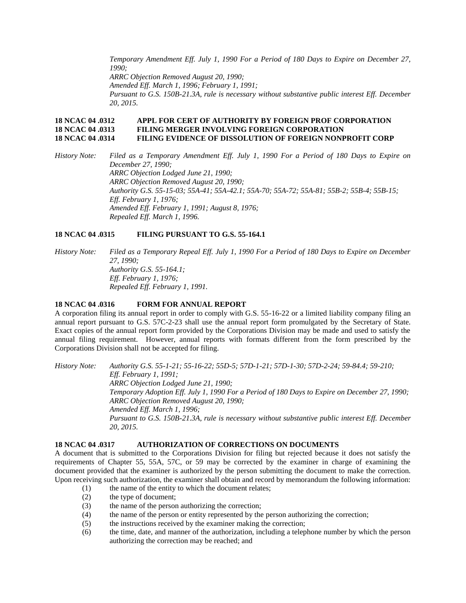*Temporary Amendment Eff. July 1, 1990 For a Period of 180 Days to Expire on December 27, 1990; ARRC Objection Removed August 20, 1990; Amended Eff. March 1, 1996; February 1, 1991; Pursuant to G.S. 150B-21.3A, rule is necessary without substantive public interest Eff. December 20, 2015.*

# **18 NCAC 04 .0312 APPL FOR CERT OF AUTHORITY BY FOREIGN PROF CORPORATION 18 NCAC 04 .0313 FILING MERGER INVOLVING FOREIGN CORPORATION 18 NCAC 04 .0314 FILING EVIDENCE OF DISSOLUTION OF FOREIGN NONPROFIT CORP**

*History Note: Filed as a Temporary Amendment Eff. July 1, 1990 For a Period of 180 Days to Expire on December 27, 1990; ARRC Objection Lodged June 21, 1990; ARRC Objection Removed August 20, 1990; Authority G.S. 55-15-03; 55A-41; 55A-42.1; 55A-70; 55A-72; 55A-81; 55B-2; 55B-4; 55B-15; Eff. February 1, 1976; Amended Eff. February 1, 1991; August 8, 1976; Repealed Eff. March 1, 1996.* 

# **18 NCAC 04 .0315 FILING PURSUANT TO G.S. 55-164.1**

*History Note: Filed as a Temporary Repeal Eff. July 1, 1990 For a Period of 180 Days to Expire on December 27, 1990; Authority G.S. 55-164.1; Eff. February 1, 1976; Repealed Eff. February 1, 1991.*

### **18 NCAC 04 .0316 FORM FOR ANNUAL REPORT**

A corporation filing its annual report in order to comply with G.S. 55-16-22 or a limited liability company filing an annual report pursuant to G.S. 57C-2-23 shall use the annual report form promulgated by the Secretary of State. Exact copies of the annual report form provided by the Corporations Division may be made and used to satisfy the annual filing requirement. However, annual reports with formats different from the form prescribed by the Corporations Division shall not be accepted for filing.

*History Note: Authority G.S. 55-1-21; 55-16-22; 55D-5; 57D-1-21; 57D-1-30; 57D-2-24; 59-84.4; 59-210; Eff. February 1, 1991; ARRC Objection Lodged June 21, 1990; Temporary Adoption Eff. July 1, 1990 For a Period of 180 Days to Expire on December 27, 1990; ARRC Objection Removed August 20, 1990; Amended Eff. March 1, 1996; Pursuant to G.S. 150B-21.3A, rule is necessary without substantive public interest Eff. December 20, 2015.*

# **18 NCAC 04 .0317 AUTHORIZATION OF CORRECTIONS ON DOCUMENTS**

A document that is submitted to the Corporations Division for filing but rejected because it does not satisfy the requirements of Chapter 55, 55A, 57C, or 59 may be corrected by the examiner in charge of examining the document provided that the examiner is authorized by the person submitting the document to make the correction. Upon receiving such authorization, the examiner shall obtain and record by memorandum the following information:

- (1) the name of the entity to which the document relates;
- (2) the type of document;
- (3) the name of the person authorizing the correction;
- (4) the name of the person or entity represented by the person authorizing the correction;
- (5) the instructions received by the examiner making the correction;
- (6) the time, date, and manner of the authorization, including a telephone number by which the person authorizing the correction may be reached; and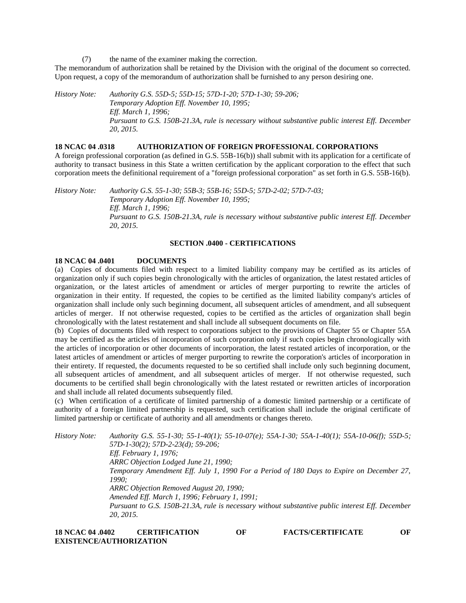(7) the name of the examiner making the correction.

The memorandum of authorization shall be retained by the Division with the original of the document so corrected. Upon request, a copy of the memorandum of authorization shall be furnished to any person desiring one.

*History Note: Authority G.S. 55D-5; 55D-15; 57D-1-20; 57D-1-30; 59-206; Temporary Adoption Eff. November 10, 1995; Eff. March 1, 1996; Pursuant to G.S. 150B-21.3A, rule is necessary without substantive public interest Eff. December 20, 2015.*

### **18 NCAC 04 .0318 AUTHORIZATION OF FOREIGN PROFESSIONAL CORPORATIONS**

A foreign professional corporation (as defined in G.S. 55B-16(b)) shall submit with its application for a certificate of authority to transact business in this State a written certification by the applicant corporation to the effect that such corporation meets the definitional requirement of a "foreign professional corporation" as set forth in G.S. 55B-16(b).

*History Note: Authority G.S. 55-1-30; 55B-3; 55B-16; 55D-5; 57D-2-02; 57D-7-03; Temporary Adoption Eff. November 10, 1995; Eff. March 1, 1996; Pursuant to G.S. 150B-21.3A, rule is necessary without substantive public interest Eff. December 20, 2015.*

# **SECTION .0400 - CERTIFICATIONS**

### **18 NCAC 04 .0401 DOCUMENTS**

(a) Copies of documents filed with respect to a limited liability company may be certified as its articles of organization only if such copies begin chronologically with the articles of organization, the latest restated articles of organization, or the latest articles of amendment or articles of merger purporting to rewrite the articles of organization in their entity. If requested, the copies to be certified as the limited liability company's articles of organization shall include only such beginning document, all subsequent articles of amendment, and all subsequent articles of merger. If not otherwise requested, copies to be certified as the articles of organization shall begin chronologically with the latest restatement and shall include all subsequent documents on file.

(b) Copies of documents filed with respect to corporations subject to the provisions of Chapter 55 or Chapter 55A may be certified as the articles of incorporation of such corporation only if such copies begin chronologically with the articles of incorporation or other documents of incorporation, the latest restated articles of incorporation, or the latest articles of amendment or articles of merger purporting to rewrite the corporation's articles of incorporation in their entirety. If requested, the documents requested to be so certified shall include only such beginning document, all subsequent articles of amendment, and all subsequent articles of merger. If not otherwise requested, such documents to be certified shall begin chronologically with the latest restated or rewritten articles of incorporation and shall include all related documents subsequently filed.

(c) When certification of a certificate of limited partnership of a domestic limited partnership or a certificate of authority of a foreign limited partnership is requested, such certification shall include the original certificate of limited partnership or certificate of authority and all amendments or changes thereto.

*History Note: Authority G.S. 55-1-30; 55-1-40(1); 55-10-07(e); 55A-1-30; 55A-1-40(1); 55A-10-06(f); 55D-5; 57D-1-30(2); 57D-2-23(d); 59-206; Eff. February 1, 1976; ARRC Objection Lodged June 21, 1990; Temporary Amendment Eff. July 1, 1990 For a Period of 180 Days to Expire on December 27, 1990; ARRC Objection Removed August 20, 1990; Amended Eff. March 1, 1996; February 1, 1991; Pursuant to G.S. 150B-21.3A, rule is necessary without substantive public interest Eff. December 20, 2015.*

# **18 NCAC 04 .0402 CERTIFICATION OF FACTS/CERTIFICATE OF EXISTENCE/AUTHORIZATION**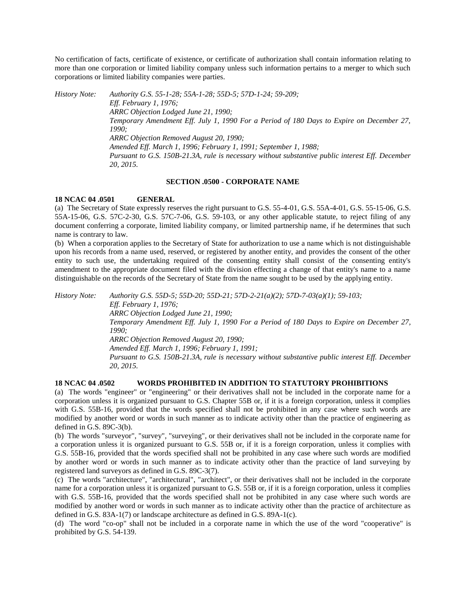No certification of facts, certificate of existence, or certificate of authorization shall contain information relating to more than one corporation or limited liability company unless such information pertains to a merger to which such corporations or limited liability companies were parties.

*History Note: Authority G.S. 55-1-28; 55A-1-28; 55D-5; 57D-1-24; 59-209; Eff. February 1, 1976; ARRC Objection Lodged June 21, 1990; Temporary Amendment Eff. July 1, 1990 For a Period of 180 Days to Expire on December 27, 1990; ARRC Objection Removed August 20, 1990; Amended Eff. March 1, 1996; February 1, 1991; September 1, 1988; Pursuant to G.S. 150B-21.3A, rule is necessary without substantive public interest Eff. December 20, 2015.*

# **SECTION .0500 - CORPORATE NAME**

### **18 NCAC 04 .0501 GENERAL**

(a) The Secretary of State expressly reserves the right pursuant to G.S. 55-4-01, G.S. 55A-4-01, G.S. 55-15-06, G.S. 55A-15-06, G.S. 57C-2-30, G.S. 57C-7-06, G.S. 59-103, or any other applicable statute, to reject filing of any document conferring a corporate, limited liability company, or limited partnership name, if he determines that such name is contrary to law.

(b) When a corporation applies to the Secretary of State for authorization to use a name which is not distinguishable upon his records from a name used, reserved, or registered by another entity, and provides the consent of the other entity to such use, the undertaking required of the consenting entity shall consist of the consenting entity's amendment to the appropriate document filed with the division effecting a change of that entity's name to a name distinguishable on the records of the Secretary of State from the name sought to be used by the applying entity.

*History Note: Authority G.S. 55D-5; 55D-20; 55D-21; 57D-2-21(a)(2); 57D-7-03(a)(1); 59-103; Eff. February 1, 1976; ARRC Objection Lodged June 21, 1990; Temporary Amendment Eff. July 1, 1990 For a Period of 180 Days to Expire on December 27, 1990; ARRC Objection Removed August 20, 1990; Amended Eff. March 1, 1996; February 1, 1991; Pursuant to G.S. 150B-21.3A, rule is necessary without substantive public interest Eff. December 20, 2015.*

# **18 NCAC 04 .0502 WORDS PROHIBITED IN ADDITION TO STATUTORY PROHIBITIONS**

(a) The words "engineer" or "engineering" or their derivatives shall not be included in the corporate name for a corporation unless it is organized pursuant to G.S. Chapter 55B or, if it is a foreign corporation, unless it complies with G.S. 55B-16, provided that the words specified shall not be prohibited in any case where such words are modified by another word or words in such manner as to indicate activity other than the practice of engineering as defined in G.S. 89C-3(b).

(b) The words "surveyor", "survey", "surveying", or their derivatives shall not be included in the corporate name for a corporation unless it is organized pursuant to G.S. 55B or, if it is a foreign corporation, unless it complies with G.S. 55B-16, provided that the words specified shall not be prohibited in any case where such words are modified by another word or words in such manner as to indicate activity other than the practice of land surveying by registered land surveyors as defined in G.S. 89C-3(7).

(c) The words "architecture", "architectural", "architect", or their derivatives shall not be included in the corporate name for a corporation unless it is organized pursuant to G.S. 55B or, if it is a foreign corporation, unless it complies with G.S. 55B-16, provided that the words specified shall not be prohibited in any case where such words are modified by another word or words in such manner as to indicate activity other than the practice of architecture as defined in G.S. 83A-1(7) or landscape architecture as defined in G.S. 89A-1(c).

(d) The word "co-op" shall not be included in a corporate name in which the use of the word "cooperative" is prohibited by G.S. 54-139.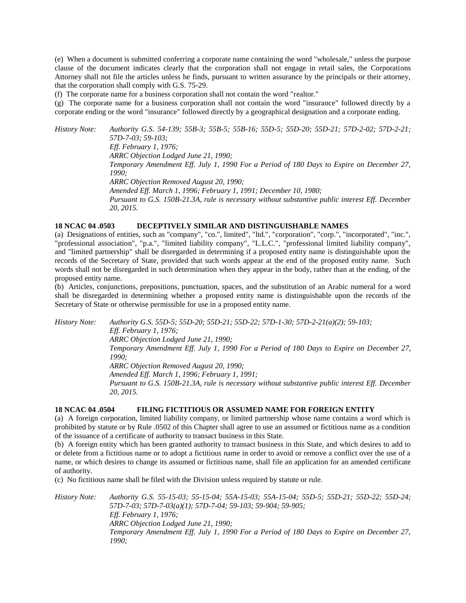(e) When a document is submitted conferring a corporate name containing the word "wholesale," unless the purpose clause of the document indicates clearly that the corporation shall not engage in retail sales, the Corporations Attorney shall not file the articles unless he finds, pursuant to written assurance by the principals or their attorney, that the corporation shall comply with G.S. 75-29.

(f) The corporate name for a business corporation shall not contain the word "realtor."

(g) The corporate name for a business corporation shall not contain the word "insurance" followed directly by a corporate ending or the word "insurance" followed directly by a geographical designation and a corporate ending.

*History Note: Authority G.S. 54-139; 55B-3; 55B-5; 55B-16; 55D-5; 55D-20; 55D-21; 57D-2-02; 57D-2-21; 57D-7-03; 59-103; Eff. February 1, 1976; ARRC Objection Lodged June 21, 1990; Temporary Amendment Eff. July 1, 1990 For a Period of 180 Days to Expire on December 27, 1990; ARRC Objection Removed August 20, 1990; Amended Eff. March 1, 1996; February 1, 1991; December 10, 1980; Pursuant to G.S. 150B-21.3A, rule is necessary without substantive public interest Eff. December 20, 2015.*

# **18 NCAC 04 .0503 DECEPTIVELY SIMILAR AND DISTINGUISHABLE NAMES**

(a) Designations of entities, such as "company", "co.", limited", "ltd.", "corporation", "corp.", "incorporated", "inc.", "professional association", "p.a.", "limited liability company", "L.L.C.", "professional limited liability company", and "limited partnership" shall be disregarded in determining if a proposed entity name is distinguishable upon the records of the Secretary of State, provided that such words appear at the end of the proposed entity name. Such words shall not be disregarded in such determination when they appear in the body, rather than at the ending, of the proposed entity name.

(b) Articles, conjunctions, prepositions, punctuation, spaces, and the substitution of an Arabic numeral for a word shall be disregarded in determining whether a proposed entity name is distinguishable upon the records of the Secretary of State or otherwise permissible for use in a proposed entity name.

*History Note: Authority G.S. 55D-5; 55D-20; 55D-21; 55D-22; 57D-1-30; 57D-2-21(a)(2); 59-103; Eff. February 1, 1976; ARRC Objection Lodged June 21, 1990; Temporary Amendment Eff. July 1, 1990 For a Period of 180 Days to Expire on December 27, 1990; ARRC Objection Removed August 20, 1990; Amended Eff. March 1, 1996; February 1, 1991; Pursuant to G.S. 150B-21.3A, rule is necessary without substantive public interest Eff. December 20, 2015.*

# **18 NCAC 04 .0504 FILING FICTITIOUS OR ASSUMED NAME FOR FOREIGN ENTITY**

(a) A foreign corporation, limited liability company, or limited partnership whose name contains a word which is prohibited by statute or by Rule .0502 of this Chapter shall agree to use an assumed or fictitious name as a condition of the issuance of a certificate of authority to transact business in this State.

(b) A foreign entity which has been granted authority to transact business in this State, and which desires to add to or delete from a fictitious name or to adopt a fictitious name in order to avoid or remove a conflict over the use of a name, or which desires to change its assumed or fictitious name, shall file an application for an amended certificate of authority.

(c) No fictitious name shall be filed with the Division unless required by statute or rule.

*History Note: Authority G.S. 55-15-03; 55-15-04; 55A-15-03; 55A-15-04; 55D-5; 55D-21; 55D-22; 55D-24; 57D-7-03; 57D-7-03(a)(1); 57D-7-04; 59-103; 59-904; 59-905; Eff. February 1, 1976; ARRC Objection Lodged June 21, 1990; Temporary Amendment Eff. July 1, 1990 For a Period of 180 Days to Expire on December 27, 1990;*